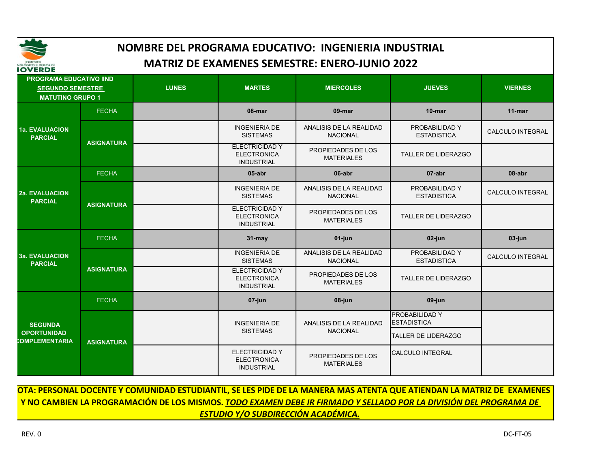

| IOVERDE                                                                              |                   |              |                                                                  |                                            |                                      |                  |
|--------------------------------------------------------------------------------------|-------------------|--------------|------------------------------------------------------------------|--------------------------------------------|--------------------------------------|------------------|
| <b>PROGRAMA EDUCATIVO IIND</b><br><b>SEGUNDO SEMESTRE</b><br><b>MATUTINO GRUPO 1</b> |                   | <b>LUNES</b> | <b>MARTES</b>                                                    | <b>MIERCOLES</b>                           | <b>JUEVES</b>                        | <b>VIERNES</b>   |
|                                                                                      | <b>FECHA</b>      |              | 08-mar                                                           | 09-mar                                     | $10$ -mar                            | $11 - mar$       |
| <b>1a. EVALUACION</b><br><b>PARCIAL</b>                                              | <b>ASIGNATURA</b> |              | <b>INGENIERIA DE</b><br><b>SISTEMAS</b>                          | ANALISIS DE LA REALIDAD<br><b>NACIONAL</b> | PROBABILIDAD Y<br><b>ESTADISTICA</b> | CALCULO INTEGRAL |
|                                                                                      |                   |              | <b>ELECTRICIDAD Y</b><br><b>ELECTRONICA</b><br><b>INDUSTRIAL</b> | PROPIEDADES DE LOS<br><b>MATERIALES</b>    | <b>TALLER DE LIDERAZGO</b>           |                  |
| <b>FECHA</b><br><b>2a. EVALUACION</b><br><b>PARCIAL</b>                              |                   |              | $05$ -abr                                                        | 06-abr                                     | 07-abr                               | 08-abr           |
|                                                                                      | <b>ASIGNATURA</b> |              | <b>INGENIERIA DE</b><br><b>SISTEMAS</b>                          | ANALISIS DE LA REALIDAD<br><b>NACIONAL</b> | PROBABILIDAD Y<br><b>ESTADISTICA</b> | CALCULO INTEGRAL |
|                                                                                      |                   |              | <b>ELECTRICIDAD Y</b><br><b>ELECTRONICA</b><br><b>INDUSTRIAL</b> | PROPIEDADES DE LOS<br><b>MATERIALES</b>    | <b>TALLER DE LIDERAZGO</b>           |                  |
|                                                                                      | <b>FECHA</b>      |              | $31 -$ may                                                       | 01-jun                                     | 02-jun                               | 03-jun           |
| <b>3a. EVALUACION</b><br><b>PARCIAL</b>                                              | <b>ASIGNATURA</b> |              | <b>INGENIERIA DE</b><br><b>SISTEMAS</b>                          | ANALISIS DE LA REALIDAD<br><b>NACIONAL</b> | PROBABILIDAD Y<br><b>ESTADISTICA</b> | CALCULO INTEGRAL |
|                                                                                      |                   |              | <b>ELECTRICIDAD Y</b><br><b>ELECTRONICA</b><br><b>INDUSTRIAL</b> | PROPIEDADES DE LOS<br><b>MATERIALES</b>    | TALLER DE LIDERAZGO                  |                  |
|                                                                                      | <b>FECHA</b>      |              | 07-jun                                                           | 08-jun                                     | 09-jun                               |                  |
| <b>SEGUNDA</b>                                                                       | <b>ASIGNATURA</b> |              | <b>INGENIERIA DE</b>                                             | ANALISIS DE LA REALIDAD                    | PROBABILIDAD Y<br><b>ESTADISTICA</b> |                  |
| <b>OPORTUNIDAD</b><br>COMPLEMENTARIA                                                 |                   |              | <b>SISTEMAS</b>                                                  | <b>NACIONAL</b>                            | <b>TALLER DE LIDERAZGO</b>           |                  |
|                                                                                      |                   |              | <b>ELECTRICIDAD Y</b><br><b>ELECTRONICA</b><br><b>INDUSTRIAL</b> | PROPIEDADES DE LOS<br><b>MATERIALES</b>    | <b>CALCULO INTEGRAL</b>              |                  |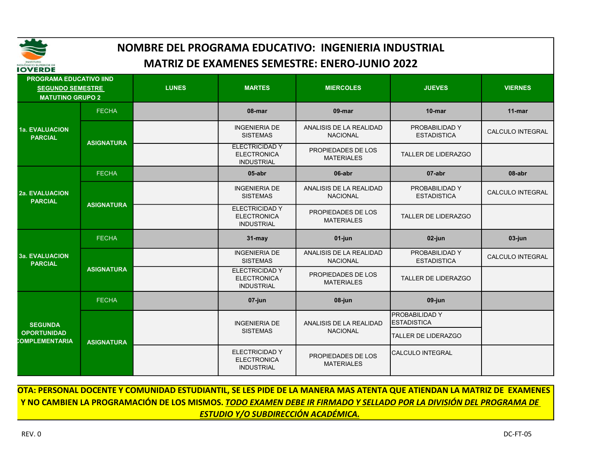

| IOVERDE                                                                              |                   |              |                                                                  |                                            |                                      |                  |
|--------------------------------------------------------------------------------------|-------------------|--------------|------------------------------------------------------------------|--------------------------------------------|--------------------------------------|------------------|
| <b>PROGRAMA EDUCATIVO IIND</b><br><b>SEGUNDO SEMESTRE</b><br><b>MATUTINO GRUPO 2</b> |                   | <b>LUNES</b> | <b>MARTES</b>                                                    | <b>MIERCOLES</b>                           | <b>JUEVES</b>                        | <b>VIERNES</b>   |
|                                                                                      | <b>FECHA</b>      |              | 08-mar                                                           | 09-mar                                     | $10$ -mar                            | $11 - mar$       |
| <b>1a. EVALUACION</b><br><b>PARCIAL</b>                                              | <b>ASIGNATURA</b> |              | <b>INGENIERIA DE</b><br><b>SISTEMAS</b>                          | ANALISIS DE LA REALIDAD<br><b>NACIONAL</b> | PROBABILIDAD Y<br><b>ESTADISTICA</b> | CALCULO INTEGRAL |
|                                                                                      |                   |              | <b>ELECTRICIDAD Y</b><br><b>ELECTRONICA</b><br><b>INDUSTRIAL</b> | PROPIEDADES DE LOS<br><b>MATERIALES</b>    | <b>TALLER DE LIDERAZGO</b>           |                  |
| <b>2a. EVALUACION</b><br><b>PARCIAL</b>                                              | <b>FECHA</b>      |              | $05$ -abr                                                        | 06-abr                                     | 07-abr                               | 08-abr           |
|                                                                                      | <b>ASIGNATURA</b> |              | <b>INGENIERIA DE</b><br><b>SISTEMAS</b>                          | ANALISIS DE LA REALIDAD<br><b>NACIONAL</b> | PROBABILIDAD Y<br><b>ESTADISTICA</b> | CALCULO INTEGRAL |
|                                                                                      |                   |              | <b>ELECTRICIDAD Y</b><br><b>ELECTRONICA</b><br><b>INDUSTRIAL</b> | PROPIEDADES DE LOS<br><b>MATERIALES</b>    | <b>TALLER DE LIDERAZGO</b>           |                  |
|                                                                                      | <b>FECHA</b>      |              | $31 -$ may                                                       | 01-jun                                     | 02-jun                               | 03-jun           |
| <b>3a. EVALUACION</b><br><b>PARCIAL</b>                                              | <b>ASIGNATURA</b> |              | <b>INGENIERIA DE</b><br><b>SISTEMAS</b>                          | ANALISIS DE LA REALIDAD<br><b>NACIONAL</b> | PROBABILIDAD Y<br><b>ESTADISTICA</b> | CALCULO INTEGRAL |
|                                                                                      |                   |              | <b>ELECTRICIDAD Y</b><br><b>ELECTRONICA</b><br><b>INDUSTRIAL</b> | PROPIEDADES DE LOS<br><b>MATERIALES</b>    | TALLER DE LIDERAZGO                  |                  |
|                                                                                      | <b>FECHA</b>      |              | 07-jun                                                           | 08-jun                                     | 09-jun                               |                  |
| <b>SEGUNDA</b>                                                                       | <b>ASIGNATURA</b> |              | <b>INGENIERIA DE</b>                                             | ANALISIS DE LA REALIDAD                    | PROBABILIDAD Y<br><b>ESTADISTICA</b> |                  |
| <b>OPORTUNIDAD</b><br>COMPLEMENTARIA                                                 |                   |              | <b>SISTEMAS</b>                                                  | <b>NACIONAL</b>                            | <b>TALLER DE LIDERAZGO</b>           |                  |
|                                                                                      |                   |              | <b>ELECTRICIDAD Y</b><br><b>ELECTRONICA</b><br><b>INDUSTRIAL</b> | PROPIEDADES DE LOS<br><b>MATERIALES</b>    | <b>CALCULO INTEGRAL</b>              |                  |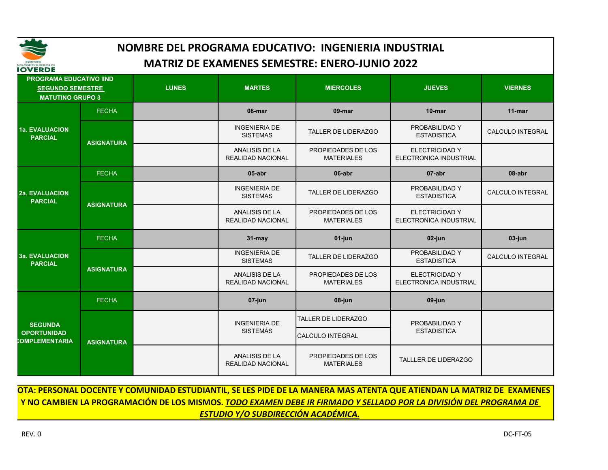

| IOVERDE                                                                              |                   |              |                                                   |                                         |                                                        |                  |
|--------------------------------------------------------------------------------------|-------------------|--------------|---------------------------------------------------|-----------------------------------------|--------------------------------------------------------|------------------|
| <b>PROGRAMA EDUCATIVO IIND</b><br><b>SEGUNDO SEMESTRE</b><br><b>MATUTINO GRUPO 3</b> |                   | <b>LUNES</b> | <b>MARTES</b>                                     | <b>MIERCOLES</b>                        | <b>JUEVES</b>                                          | <b>VIERNES</b>   |
|                                                                                      | <b>FECHA</b>      |              | 08-mar                                            | 09-mar                                  | $10$ -mar                                              | $11$ -mar        |
| <b>1a. EVALUACION</b><br><b>PARCIAL</b>                                              | <b>ASIGNATURA</b> |              | <b>INGENIERIA DE</b><br><b>SISTEMAS</b>           | TALLER DE LIDERAZGO                     | PROBABILIDAD Y<br><b>ESTADISTICA</b>                   | CALCULO INTEGRAL |
|                                                                                      |                   |              | <b>ANALISIS DE LA</b><br><b>REALIDAD NACIONAL</b> | PROPIEDADES DE LOS<br><b>MATERIALES</b> | <b>ELECTRICIDAD Y</b><br><b>ELECTRONICA INDUSTRIAL</b> |                  |
| <b>2a. EVALUACION</b><br><b>PARCIAL</b>                                              | <b>FECHA</b>      |              | 05-abr                                            | 06-abr                                  | 07-abr                                                 | 08-abr           |
|                                                                                      | <b>ASIGNATURA</b> |              | <b>INGENIERIA DE</b><br><b>SISTEMAS</b>           | TALLER DE LIDERAZGO                     | PROBABILIDAD Y<br><b>ESTADISTICA</b>                   | CALCULO INTEGRAL |
|                                                                                      |                   |              | <b>ANALISIS DE LA</b><br>REALIDAD NACIONAL        | PROPIEDADES DE LOS<br><b>MATERIALES</b> | <b>ELECTRICIDAD Y</b><br>ELECTRONICA INDUSTRIAL        |                  |
|                                                                                      | <b>FECHA</b>      |              | 31-may                                            | 01-jun                                  | 02-jun                                                 | 03-jun           |
| <b>3a. EVALUACION</b><br><b>PARCIAL</b>                                              | <b>ASIGNATURA</b> |              | <b>INGENIERIA DE</b><br><b>SISTEMAS</b>           | TALLER DE LIDERAZGO                     | PROBABILIDAD Y<br><b>ESTADISTICA</b>                   | CALCULO INTEGRAL |
|                                                                                      |                   |              | <b>ANALISIS DE LA</b><br>REALIDAD NACIONAL        | PROPIEDADES DE LOS<br><b>MATERIALES</b> | <b>ELECTRICIDAD Y</b><br>ELECTRONICA INDUSTRIAL        |                  |
|                                                                                      | <b>FECHA</b>      |              | 07-jun                                            | 08-jun                                  | 09-jun                                                 |                  |
| <b>SEGUNDA</b>                                                                       | <b>ASIGNATURA</b> |              | <b>INGENIERIA DE</b>                              | <b>TALLER DE LIDERAZGO</b>              | PROBABILIDAD Y                                         |                  |
| <b>OPORTUNIDAD</b><br>COMPLEMENTARIA                                                 |                   |              | <b>SISTEMAS</b>                                   | CALCULO INTEGRAL                        | <b>ESTADISTICA</b>                                     |                  |
|                                                                                      |                   |              | ANALISIS DE LA<br><b>REALIDAD NACIONAL</b>        | PROPIEDADES DE LOS<br><b>MATERIALES</b> | <b>TALLLER DE LIDERAZGO</b>                            |                  |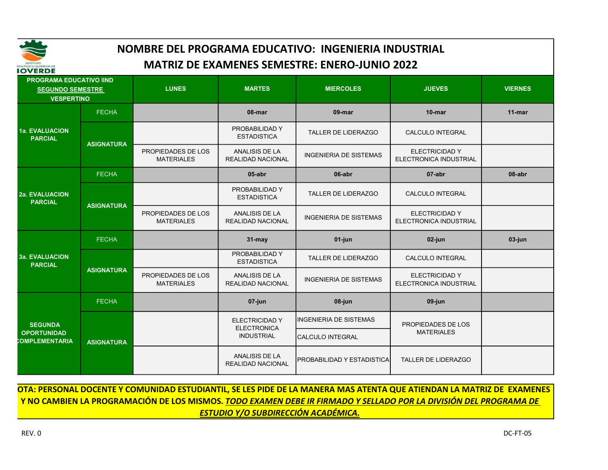

| IVVENDE                                                                        |                   |                                         |                                                   |                                   |                                                        |                |
|--------------------------------------------------------------------------------|-------------------|-----------------------------------------|---------------------------------------------------|-----------------------------------|--------------------------------------------------------|----------------|
| <b>PROGRAMA EDUCATIVO IIND</b><br><b>SEGUNDO SEMESTRE</b><br><b>VESPERTINO</b> |                   | <b>LUNES</b>                            | <b>MARTES</b>                                     | <b>MIERCOLES</b>                  | <b>JUEVES</b>                                          | <b>VIERNES</b> |
|                                                                                | <b>FECHA</b>      |                                         | 08-mar                                            | 09-mar                            | $10$ -mar                                              | $11$ -mar      |
| <b>1a. EVALUACION</b><br><b>PARCIAL</b>                                        | <b>ASIGNATURA</b> |                                         | PROBABILIDAD Y<br><b>ESTADISTICA</b>              | <b>TALLER DE LIDERAZGO</b>        | <b>CALCULO INTEGRAL</b>                                |                |
|                                                                                |                   | PROPIEDADES DE LOS<br><b>MATERIALES</b> | <b>ANALISIS DE LA</b><br><b>REALIDAD NACIONAL</b> | <b>INGENIERIA DE SISTEMAS</b>     | <b>ELECTRICIDAD Y</b><br>ELECTRONICA INDUSTRIAL        |                |
|                                                                                | <b>FECHA</b>      |                                         | 05-abr                                            | 06-abr                            | 07-abr                                                 | 08-abr         |
| <b>2a. EVALUACION</b><br><b>PARCIAL</b>                                        | <b>ASIGNATURA</b> |                                         | PROBABILIDAD Y<br><b>ESTADISTICA</b>              | TALLER DE LIDERAZGO               | CALCULO INTEGRAL                                       |                |
|                                                                                |                   | PROPIEDADES DE LOS<br><b>MATERIALES</b> | <b>ANALISIS DE LA</b><br><b>REALIDAD NACIONAL</b> | <b>INGENIERIA DE SISTEMAS</b>     | <b>ELECTRICIDAD Y</b><br>ELECTRONICA INDUSTRIAL        |                |
|                                                                                | <b>FECHA</b>      |                                         | 31-may                                            | 01-jun                            | 02-jun                                                 | 03-jun         |
| <b>3a. EVALUACION</b><br><b>PARCIAL</b>                                        | <b>ASIGNATURA</b> |                                         | PROBABILIDAD Y<br><b>ESTADISTICA</b>              | <b>TALLER DE LIDERAZGO</b>        | <b>CALCULO INTEGRAL</b>                                |                |
|                                                                                |                   | PROPIEDADES DE LOS<br><b>MATERIALES</b> | <b>ANALISIS DE LA</b><br><b>REALIDAD NACIONAL</b> | <b>INGENIERIA DE SISTEMAS</b>     | <b>ELECTRICIDAD Y</b><br><b>ELECTRONICA INDUSTRIAL</b> |                |
|                                                                                | <b>FECHA</b>      |                                         | 07-jun                                            | 08-jun                            | 09-jun                                                 |                |
| <b>SEGUNDA</b>                                                                 |                   |                                         | <b>ELECTRICIDAD Y</b><br><b>ELECTRONICA</b>       | <b>IINGENIERIA DE SISTEMAS</b>    | PROPIEDADES DE LOS                                     |                |
| <b>OPORTUNIDAD</b><br>COMPLEMENTARIA                                           | <b>ASIGNATURA</b> |                                         | <b>INDUSTRIAL</b>                                 | <b>CALCULO INTEGRAL</b>           | <b>MATERIALES</b>                                      |                |
|                                                                                |                   |                                         | <b>ANALISIS DE LA</b><br><b>REALIDAD NACIONAL</b> | <b>PROBABILIDAD Y ESTADISTICA</b> | TALLER DE LIDERAZGO                                    |                |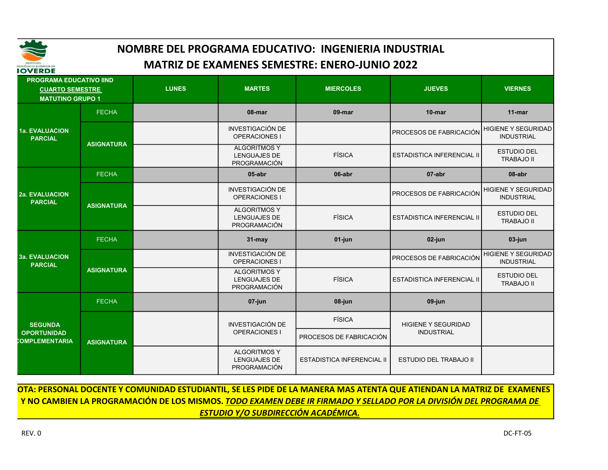

| IVVLNDL                                                                             |                   |              |                                                            |                            |                                   |                                                 |
|-------------------------------------------------------------------------------------|-------------------|--------------|------------------------------------------------------------|----------------------------|-----------------------------------|-------------------------------------------------|
| <b>PROGRAMA EDUCATIVO IIND</b><br><b>CUARTO SEMESTRE</b><br><b>MATUTINO GRUPO 1</b> |                   | <b>LUNES</b> | <b>MARTES</b>                                              | <b>MIERCOLES</b>           | <b>JUEVES</b>                     | <b>VIERNES</b>                                  |
|                                                                                     | <b>FECHA</b>      |              | 08-mar                                                     | 09-mar                     | $10$ -mar                         | $11$ -mar                                       |
| 1a. EVALUACION<br><b>PARCIAL</b>                                                    | <b>ASIGNATURA</b> |              | <b>INVESTIGACIÓN DE</b><br><b>OPERACIONES I</b>            |                            | <b>PROCESOS DE FABRICACIÓN</b>    | <b>HIGIENE Y SEGURIDAD</b><br><b>INDUSTRIAL</b> |
|                                                                                     |                   |              | <b>ALGORITMOS Y</b><br><b>LENGUAJES DE</b><br>PROGRAMACIÓN | <b>FÍSICA</b>              | <b>ESTADISTICA INFERENCIAL II</b> | <b>ESTUDIO DEL</b><br><b>TRABAJO II</b>         |
|                                                                                     | <b>FECHA</b>      |              | $05$ -abr                                                  | 06-abr                     | 07-abr                            | 08-abr                                          |
| <b>2a. EVALUACION</b><br><b>PARCIAL</b>                                             | <b>ASIGNATURA</b> |              | INVESTIGACIÓN DE<br>OPERACIONES I                          |                            | PROCESOS DE FABRICACIÓN           | <b>HIGIENE Y SEGURIDAD</b><br><b>INDUSTRIAL</b> |
|                                                                                     |                   |              | <b>ALGORITMOS Y</b><br>LENGUAJES DE<br>PROGRAMACIÓN        | <b>FÍSICA</b>              | <b>ESTADISTICA INFERENCIAL II</b> | <b>ESTUDIO DEL</b><br><b>TRABAJO II</b>         |
|                                                                                     | <b>FECHA</b>      |              | $31 -$ may                                                 | 01-jun                     | 02-jun                            | $03$ -jun                                       |
| <b>3a. EVALUACION</b><br><b>PARCIAL</b>                                             | <b>ASIGNATURA</b> |              | <b>INVESTIGACIÓN DE</b><br><b>OPERACIONES I</b>            |                            | PROCESOS DE FABRICACIÓN           | <b>HIGIENE Y SEGURIDAD</b><br><b>INDUSTRIAL</b> |
|                                                                                     |                   |              | <b>ALGORITMOS Y</b><br>LENGUAJES DE<br><b>PROGRAMACIÓN</b> | <b>FÍSICA</b>              | <b>ESTADISTICA INFERENCIAL II</b> | <b>ESTUDIO DEL</b><br><b>TRABAJO II</b>         |
|                                                                                     | <b>FECHA</b>      |              | 07-jun                                                     | 08-jun                     | 09-jun                            |                                                 |
| <b>SEGUNDA</b>                                                                      | <b>ASIGNATURA</b> |              | <b>INVESTIGACIÓN DE</b>                                    | <b>FÍSICA</b>              | <b>HIGIENE Y SEGURIDAD</b>        |                                                 |
| <b>OPORTUNIDAD</b><br>COMPLEMENTARIA                                                |                   |              | OPERACIONES I                                              | PROCESOS DE FABRICACIÓN    | <b>INDUSTRIAL</b>                 |                                                 |
|                                                                                     |                   |              | <b>ALGORITMOS Y</b><br>LENGUAJES DE<br>PROGRAMACIÓN        | ESTADISTICA INFERENCIAL II | <b>ESTUDIO DEL TRABAJO II</b>     |                                                 |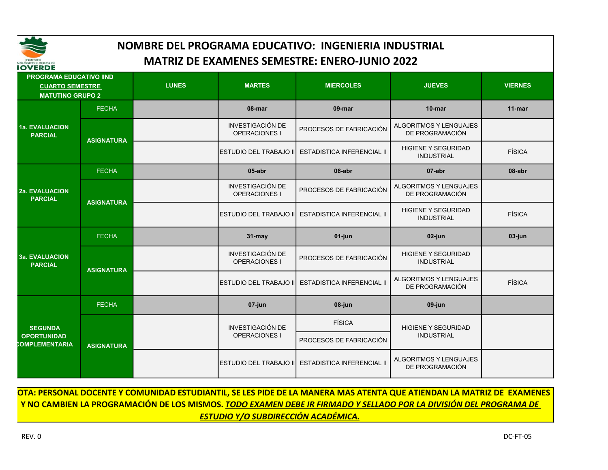

| IOVERDE                                                                             |                   |              |                                          |                                   |                                                  |                |
|-------------------------------------------------------------------------------------|-------------------|--------------|------------------------------------------|-----------------------------------|--------------------------------------------------|----------------|
| <b>PROGRAMA EDUCATIVO IIND</b><br><b>CUARTO SEMESTRE</b><br><b>MATUTINO GRUPO 2</b> |                   | <b>LUNES</b> | <b>MARTES</b>                            | <b>MIERCOLES</b>                  | <b>JUEVES</b>                                    | <b>VIERNES</b> |
|                                                                                     | <b>FECHA</b>      |              | 08-mar                                   | 09-mar                            | $10$ -mar                                        | $11$ -mar      |
| <b>1a. EVALUACION</b><br><b>PARCIAL</b>                                             | <b>ASIGNATURA</b> |              | <b>INVESTIGACIÓN DE</b><br>OPERACIONES I | PROCESOS DE FABRICACIÓN           | ALGORITMOS Y LENGUAJES<br>DE PROGRAMACIÓN        |                |
|                                                                                     |                   |              | <b>ESTUDIO DEL TRABAJO II</b>            | <b>ESTADISTICA INFERENCIAL II</b> | <b>HIGIENE Y SEGURIDAD</b><br><b>INDUSTRIAL</b>  | <b>FÍSICA</b>  |
| <b>2a. EVALUACION</b><br><b>PARCIAL</b>                                             | <b>FECHA</b>      |              | $05$ -abr                                | 06-abr                            | 07-abr                                           | 08-abr         |
|                                                                                     | <b>ASIGNATURA</b> |              | <b>INVESTIGACIÓN DE</b><br>OPERACIONES I | PROCESOS DE FABRICACIÓN           | <b>ALGORITMOS Y LENGUAJES</b><br>DE PROGRAMACIÓN |                |
|                                                                                     |                   |              | ESTUDIO DEL TRABAJO II                   | <b>ESTADISTICA INFERENCIAL II</b> | <b>HIGIENE Y SEGURIDAD</b><br><b>INDUSTRIAL</b>  | <b>FÍSICA</b>  |
|                                                                                     | <b>FECHA</b>      |              | $31 -$ may                               | 01-jun                            | $02$ -jun                                        | 03-jun         |
| <b>3a. EVALUACION</b><br><b>PARCIAL</b>                                             | <b>ASIGNATURA</b> |              | <b>INVESTIGACIÓN DE</b><br>OPERACIONES I | PROCESOS DE FABRICACIÓN           | <b>HIGIENE Y SEGURIDAD</b><br><b>INDUSTRIAL</b>  |                |
|                                                                                     |                   |              | <b>ESTUDIO DEL TRABAJO III</b>           | <b>ESTADISTICA INFERENCIAL II</b> | ALGORITMOS Y LENGUAJES<br>DE PROGRAMACIÓN        | <b>FÍSICA</b>  |
|                                                                                     | <b>FECHA</b>      |              | 07-jun                                   | 08-jun                            | 09-jun                                           |                |
| <b>SEGUNDA</b>                                                                      |                   |              | <b>INVESTIGACIÓN DE</b>                  | <b>FÍSICA</b>                     | <b>HIGIENE Y SEGURIDAD</b>                       |                |
| <b>OPORTUNIDAD</b><br>COMPLEMENTARIA                                                | <b>ASIGNATURA</b> |              | <b>OPERACIONES I</b>                     | PROCESOS DE FABRICACIÓN           | <b>INDUSTRIAL</b>                                |                |
|                                                                                     |                   |              | IESTUDIO DEL TRABAJO III                 | <b>ESTADISTICA INFERENCIAL II</b> | <b>ALGORITMOS Y LENGUAJES</b><br>DE PROGRAMACIÓN |                |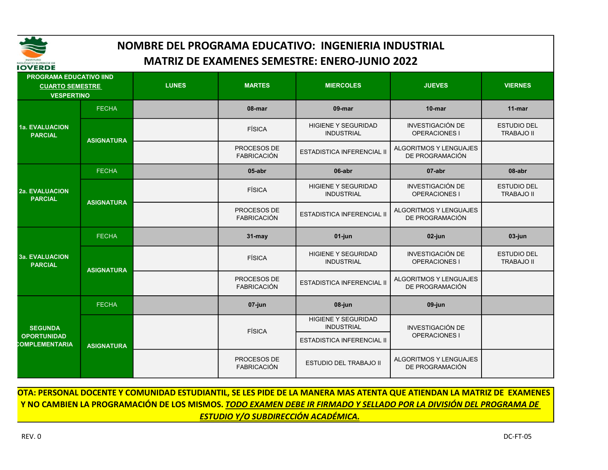

| IVVERDE                                                                       |                   |              |                                   |                                                 |                                                  |                                         |
|-------------------------------------------------------------------------------|-------------------|--------------|-----------------------------------|-------------------------------------------------|--------------------------------------------------|-----------------------------------------|
| <b>PROGRAMA EDUCATIVO IIND</b><br><b>CUARTO SEMESTRE</b><br><b>VESPERTINO</b> |                   | <b>LUNES</b> | <b>MARTES</b>                     | <b>MIERCOLES</b>                                | <b>JUEVES</b>                                    | <b>VIERNES</b>                          |
|                                                                               | <b>FECHA</b>      |              | 08-mar                            | 09-mar                                          | $10$ -mar                                        | $11$ -mar                               |
| 1a. EVALUACION<br><b>PARCIAL</b>                                              | <b>ASIGNATURA</b> |              | <b>FÍSICA</b>                     | <b>HIGIENE Y SEGURIDAD</b><br><b>INDUSTRIAL</b> | <b>INVESTIGACIÓN DE</b><br><b>OPERACIONES I</b>  | <b>ESTUDIO DEL</b><br><b>TRABAJO II</b> |
|                                                                               |                   |              | PROCESOS DE<br><b>FABRICACIÓN</b> | <b>ESTADISTICA INFERENCIAL II</b>               | <b>ALGORITMOS Y LENGUAJES</b><br>DE PROGRAMACIÓN |                                         |
|                                                                               | <b>FECHA</b>      |              | $05$ -abr                         | 06-abr                                          | 07-abr                                           | 08-abr                                  |
| 2a. EVALUACION<br><b>PARCIAL</b>                                              | <b>ASIGNATURA</b> |              | FÍSICA                            | <b>HIGIENE Y SEGURIDAD</b><br><b>INDUSTRIAL</b> | <b>INVESTIGACIÓN DE</b><br>OPERACIONES I         | <b>ESTUDIO DEL</b><br><b>TRABAJO II</b> |
|                                                                               |                   |              | PROCESOS DE<br><b>FABRICACIÓN</b> | ESTADISTICA INFERENCIAL II                      | <b>ALGORITMOS Y LENGUAJES</b><br>DE PROGRAMACIÓN |                                         |
|                                                                               | <b>FECHA</b>      |              | $31 -$ may                        | 01-jun                                          | 02-jun                                           | 03-jun                                  |
| <b>3a. EVALUACION</b><br><b>PARCIAL</b>                                       | <b>ASIGNATURA</b> |              | <b>FÍSICA</b>                     | <b>HIGIENE Y SEGURIDAD</b><br><b>INDUSTRIAL</b> | <b>INVESTIGACIÓN DE</b><br><b>OPERACIONES I</b>  | <b>ESTUDIO DEL</b><br><b>TRABAJO II</b> |
|                                                                               |                   |              | PROCESOS DE<br><b>FABRICACIÓN</b> | <b>ESTADISTICA INFERENCIAL II</b>               | <b>ALGORITMOS Y LENGUAJES</b><br>DE PROGRAMACIÓN |                                         |
|                                                                               | <b>FECHA</b>      |              | 07-jun                            | 08-jun                                          | 09-jun                                           |                                         |
| <b>SEGUNDA</b>                                                                |                   |              | <b>FÍSICA</b>                     | <b>HIGIENE Y SEGURIDAD</b><br><b>INDUSTRIAL</b> | <b>INVESTIGACIÓN DE</b>                          |                                         |
| <b>OPORTUNIDAD</b><br>COMPLEMENTARIA                                          | <b>ASIGNATURA</b> |              |                                   | <b>ESTADISTICA INFERENCIAL II</b>               | <b>OPERACIONES I</b>                             |                                         |
|                                                                               |                   |              | PROCESOS DE<br><b>FABRICACIÓN</b> | <b>ESTUDIO DEL TRABAJO II</b>                   | <b>ALGORITMOS Y LENGUAJES</b><br>DE PROGRAMACIÓN |                                         |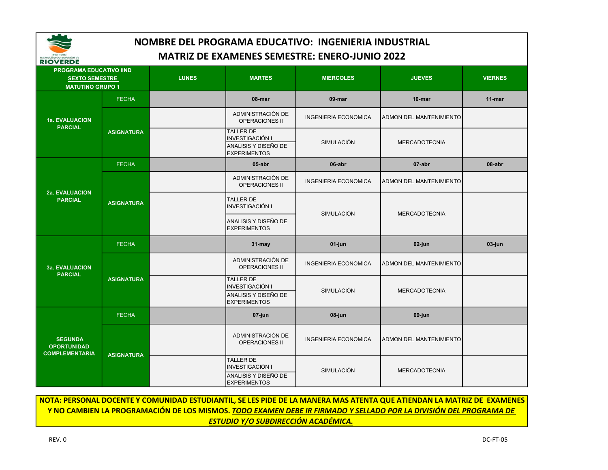

| <b>KIUVERDE</b>                                               |                   |              |                                                                                           |                             |                                |                |
|---------------------------------------------------------------|-------------------|--------------|-------------------------------------------------------------------------------------------|-----------------------------|--------------------------------|----------------|
| <b>PROGRAMA EDUCATIVO IIND</b>                                |                   |              |                                                                                           |                             |                                |                |
| <b>SEXTO SEMESTRE</b>                                         |                   | <b>LUNES</b> | <b>MARTES</b>                                                                             | <b>MIERCOLES</b>            | <b>JUEVES</b>                  | <b>VIERNES</b> |
| <b>MATUTINO GRUPO 1</b>                                       |                   |              |                                                                                           |                             |                                |                |
|                                                               | <b>FECHA</b>      |              | 08-mar                                                                                    | 09-mar                      | 10-mar                         | 11-mar         |
| 1a. EVALUACION<br><b>PARCIAL</b>                              |                   |              | ADMINISTRACIÓN DE<br><b>OPERACIONES II</b>                                                | <b>INGENIERIA ECONOMICA</b> | <b>ADMON DEL MANTENIMIENTO</b> |                |
|                                                               | <b>ASIGNATURA</b> |              | <b>TALLER DE</b><br>INVESTIGACIÓN I<br>ANALISIS Y DISEÑO DE<br><b>EXPERIMENTOS</b>        | SIMULACIÓN                  | <b>MERCADOTECNIA</b>           |                |
| 2a. EVALUACION<br><b>PARCIAL</b>                              | <b>FECHA</b>      |              | $05$ -abr                                                                                 | 06-abr                      | 07-abr                         | 08-abr         |
|                                                               | <b>ASIGNATURA</b> |              | ADMINISTRACIÓN DE<br><b>OPERACIONES II</b>                                                | <b>INGENIERIA ECONOMICA</b> | <b>ADMON DEL MANTENIMIENTO</b> |                |
|                                                               |                   |              | <b>TALLER DE</b><br><b>INVESTIGACIÓN I</b>                                                | SIMULACIÓN                  | <b>MERCADOTECNIA</b>           |                |
|                                                               |                   |              | ANALISIS Y DISEÑO DE<br><b>EXPERIMENTOS</b>                                               |                             |                                |                |
|                                                               | <b>FECHA</b>      |              | 31-may                                                                                    | 01-jun                      | 02-jun                         | 03-jun         |
| <b>3a. EVALUACION</b><br><b>PARCIAL</b>                       | <b>ASIGNATURA</b> |              | ADMINISTRACIÓN DE<br><b>OPERACIONES II</b>                                                | <b>INGENIERIA ECONOMICA</b> | ADMON DEL MANTENIMIENTO        |                |
|                                                               |                   |              | <b>TALLER DE</b><br><b>INVESTIGACIÓN I</b><br>ANALISIS Y DISEÑO DE<br><b>EXPERIMENTOS</b> | SIMULACIÓN                  | <b>MERCADOTECNIA</b>           |                |
|                                                               | <b>FECHA</b>      |              | 07-jun                                                                                    | 08-jun                      | 09-jun                         |                |
| <b>SEGUNDA</b><br><b>OPORTUNIDAD</b><br><b>COMPLEMENTARIA</b> | <b>ASIGNATURA</b> |              | ADMINISTRACIÓN DE<br><b>OPERACIONES II</b>                                                | <b>INGENIERIA ECONOMICA</b> | <b>ADMON DEL MANTENIMIENTO</b> |                |
|                                                               |                   |              | <b>TALLER DE</b><br><b>INVESTIGACIÓN I</b><br>ANALISIS Y DISEÑO DE<br><b>EXPERIMENTOS</b> | <b>SIMULACIÓN</b>           | <b>MERCADOTECNIA</b>           |                |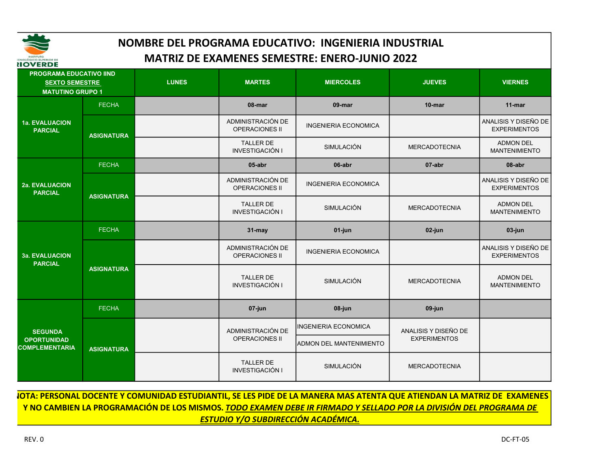

| <b>IIOVERDE</b>                                                                    |                   |              |                                            |                                |                      |                                             |
|------------------------------------------------------------------------------------|-------------------|--------------|--------------------------------------------|--------------------------------|----------------------|---------------------------------------------|
| <b>PROGRAMA EDUCATIVO IIND</b><br><b>SEXTO SEMESTRE</b><br><b>MATUTINO GRUPO 1</b> |                   | <b>LUNES</b> | <b>MARTES</b>                              | <b>MIERCOLES</b>               | <b>JUEVES</b>        | <b>VIERNES</b>                              |
|                                                                                    | <b>FECHA</b>      |              | 08-mar                                     | 09-mar                         | $10$ -mar            | $11$ -mar                                   |
| 1a. EVALUACION<br><b>PARCIAL</b>                                                   | <b>ASIGNATURA</b> |              | ADMINISTRACIÓN DE<br><b>OPERACIONES II</b> | <b>INGENIERIA ECONOMICA</b>    |                      | ANALISIS Y DISEÑO DE<br><b>EXPERIMENTOS</b> |
|                                                                                    |                   |              | <b>TALLER DE</b><br>INVESTIGACIÓN I        | SIMULACIÓN                     | <b>MERCADOTECNIA</b> | <b>ADMON DEL</b><br><b>MANTENIMIENTO</b>    |
| <b>2a. EVALUACION</b><br><b>PARCIAL</b>                                            | <b>FECHA</b>      |              | 05-abr                                     | 06-abr                         | 07-abr               | 08-abr                                      |
|                                                                                    | <b>ASIGNATURA</b> |              | ADMINISTRACIÓN DE<br><b>OPERACIONES II</b> | <b>INGENIERIA ECONOMICA</b>    |                      | ANALISIS Y DISEÑO DE<br><b>EXPERIMENTOS</b> |
|                                                                                    |                   |              | <b>TALLER DE</b><br>INVESTIGACIÓN I        | SIMULACIÓN                     | <b>MERCADOTECNIA</b> | <b>ADMON DEL</b><br><b>MANTENIMIENTO</b>    |
|                                                                                    | <b>FECHA</b>      |              | 31-may                                     | 01-jun                         | 02-jun               | 03-jun                                      |
| <b>3a. EVALUACION</b><br><b>PARCIAL</b>                                            | <b>ASIGNATURA</b> |              | ADMINISTRACIÓN DE<br><b>OPERACIONES II</b> | <b>INGENIERIA ECONOMICA</b>    |                      | ANALISIS Y DISEÑO DE<br><b>EXPERIMENTOS</b> |
|                                                                                    |                   |              | <b>TALLER DE</b><br><b>INVESTIGACIÓN I</b> | <b>SIMULACIÓN</b>              | <b>MERCADOTECNIA</b> | <b>ADMON DEL</b><br><b>MANTENIMIENTO</b>    |
|                                                                                    | <b>FECHA</b>      |              | 07-jun                                     | 08-jun                         | 09-jun               |                                             |
| <b>SEGUNDA</b>                                                                     |                   |              | ADMINISTRACIÓN DE                          | <b>INGENIERIA ECONOMICA</b>    | ANALISIS Y DISEÑO DE |                                             |
| <b>OPORTUNIDAD</b><br><b>COMPLEMENTARIA</b>                                        | <b>ASIGNATURA</b> |              | <b>OPERACIONES II</b>                      | <b>ADMON DEL MANTENIMIENTO</b> | <b>EXPERIMENTOS</b>  |                                             |
|                                                                                    |                   |              | <b>TALLER DE</b><br><b>INVESTIGACIÓN I</b> | SIMULACIÓN                     | <b>MERCADOTECNIA</b> |                                             |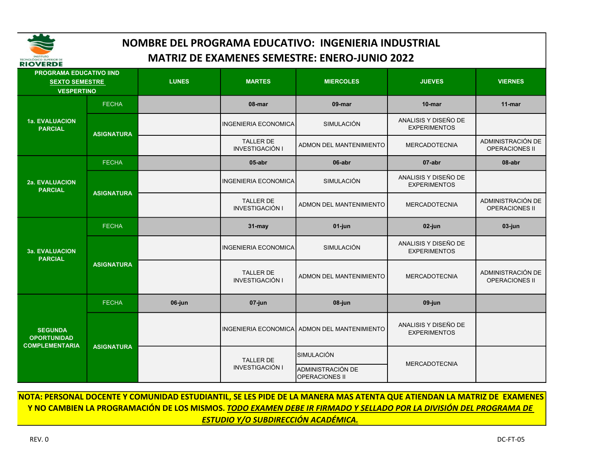

| <b>RIUVERDE</b><br>PROGRAMA EDUCATIVO IIND |                   |              |                                            |                                              |                                             |                                            |
|--------------------------------------------|-------------------|--------------|--------------------------------------------|----------------------------------------------|---------------------------------------------|--------------------------------------------|
| <b>SEXTO SEMESTRE</b><br><b>VESPERTINO</b> |                   | <b>LUNES</b> | <b>MARTES</b>                              | <b>MIERCOLES</b>                             | <b>JUEVES</b>                               | <b>VIERNES</b>                             |
|                                            | <b>FECHA</b>      |              | 08-mar                                     | 09-mar                                       | 10-mar                                      | $11$ -mar                                  |
| 1a. EVALUACION<br><b>PARCIAL</b>           | <b>ASIGNATURA</b> |              | <b>INGENIERIA ECONOMICA</b>                | <b>SIMULACIÓN</b>                            | ANALISIS Y DISEÑO DE<br><b>EXPERIMENTOS</b> |                                            |
|                                            |                   |              | TALLER DE<br><b>INVESTIGACIÓN I</b>        | ADMON DEL MANTENIMIENTO                      | <b>MERCADOTECNIA</b>                        | ADMINISTRACIÓN DE<br>OPERACIONES II        |
|                                            | <b>FECHA</b>      |              | 05-abr                                     | 06-abr                                       | 07-abr                                      | 08-abr                                     |
| 2a. EVALUACION<br><b>PARCIAL</b>           |                   |              | <b>INGENIERIA ECONOMICA</b>                | <b>SIMULACIÓN</b>                            | ANALISIS Y DISEÑO DE<br><b>EXPERIMENTOS</b> |                                            |
|                                            | <b>ASIGNATURA</b> |              | <b>TALLER DE</b><br><b>INVESTIGACIÓN I</b> | ADMON DEL MANTENIMIENTO                      | <b>MERCADOTECNIA</b>                        | ADMINISTRACIÓN DE<br><b>OPERACIONES II</b> |
|                                            | <b>FECHA</b>      |              | 31-may                                     | $01$ -jun                                    | 02-jun                                      | 03-jun                                     |
| <b>3a. EVALUACION</b><br><b>PARCIAL</b>    | <b>ASIGNATURA</b> |              | <b>INGENIERIA ECONOMICA</b>                | SIMULACIÓN                                   | ANALISIS Y DISEÑO DE<br><b>EXPERIMENTOS</b> |                                            |
|                                            |                   |              | <b>TALLER DE</b><br><b>INVESTIGACIÓN I</b> | ADMON DEL MANTENIMIENTO                      | <b>MERCADOTECNIA</b>                        | ADMINISTRACIÓN DE<br><b>OPERACIONES II</b> |
|                                            | <b>FECHA</b>      | 06-jun       | $07$ -jun                                  | 08-jun                                       | 09-jun                                      |                                            |
| <b>SEGUNDA</b><br><b>OPORTUNIDAD</b>       | <b>ASIGNATURA</b> |              |                                            | INGENIERIA ECONOMICA ADMON DEL MANTENIMIENTO | ANALISIS Y DISEÑO DE<br><b>EXPERIMENTOS</b> |                                            |
| <b>COMPLEMENTARIA</b>                      |                   |              | <b>TALLER DE</b>                           | SIMULACIÓN                                   | <b>MERCADOTECNIA</b>                        |                                            |
|                                            |                   |              | <b>INVESTIGACIÓN I</b>                     | ADMINISTRACIÓN DE<br><b>OPERACIONES II</b>   |                                             |                                            |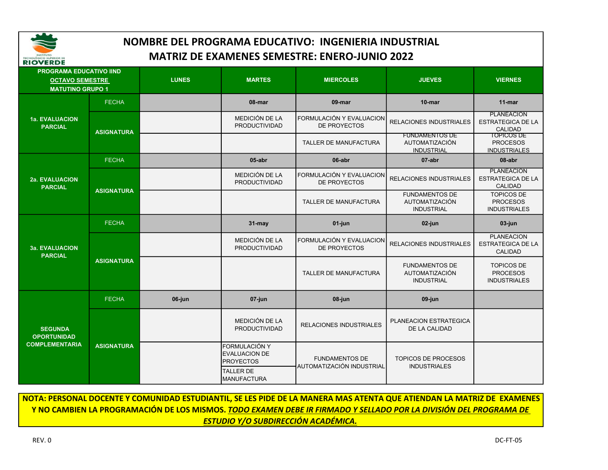

| <b>PROGRAMA EDUCATIVO IIND</b><br><b>OCTAVO SEMESTRE</b><br><b>MATUTINO GRUPO 1</b> |                   | <b>LUNES</b> | <b>MARTES</b>                                             | <b>MIERCOLES</b>                                   | <b>JUEVES</b>                                                       | <b>VIERNES</b>                                                  |
|-------------------------------------------------------------------------------------|-------------------|--------------|-----------------------------------------------------------|----------------------------------------------------|---------------------------------------------------------------------|-----------------------------------------------------------------|
|                                                                                     | <b>FECHA</b>      |              | 08-mar                                                    | 09-mar                                             | 10-mar                                                              | 11-mar                                                          |
| <b>1a. EVALUACION</b><br><b>PARCIAL</b>                                             | <b>ASIGNATURA</b> |              | MEDICIÓN DE LA<br><b>PRODUCTIVIDAD</b>                    | FORMULACIÓN Y EVALUACION<br>DE PROYECTOS           | <b>RELACIONES INDUSTRIALES</b>                                      | <b>PLANEACION</b><br><b>ESTRATEGICA DE LA</b><br><b>CALIDAD</b> |
|                                                                                     |                   |              |                                                           | TALLER DE MANUFACTURA                              | <b>FUNDAMENTOS DE</b><br><b>AUTOMATIZACIÓN</b><br><b>INDUSTRIAL</b> | TOPICOS DE<br><b>PROCESOS</b><br><b>INDUSTRIALES</b>            |
|                                                                                     | <b>FECHA</b>      |              | 05-abr                                                    | 06-abr                                             | 07-abr                                                              | 08-abr                                                          |
| <b>2a. EVALUACION</b><br><b>PARCIAL</b>                                             |                   |              | MEDICIÓN DE LA<br><b>PRODUCTIVIDAD</b>                    | FORMULACIÓN Y EVALUACION<br>DE PROYECTOS           | <b>RELACIONES INDUSTRIALES</b>                                      | <b>PLANEACION</b><br><b>ESTRATEGICA DE LA</b><br><b>CALIDAD</b> |
|                                                                                     | <b>ASIGNATURA</b> |              |                                                           | <b>TALLER DE MANUFACTURA</b>                       | <b>FUNDAMENTOS DE</b><br><b>AUTOMATIZACIÓN</b><br><b>INDUSTRIAL</b> | <b>TOPICOS DE</b><br><b>PROCESOS</b><br><b>INDUSTRIALES</b>     |
|                                                                                     | <b>FECHA</b>      |              | $31 -$ may                                                | $01$ -jun                                          | 02-jun                                                              | 03-jun                                                          |
| <b>3a. EVALUACION</b><br><b>PARCIAL</b>                                             | <b>ASIGNATURA</b> |              | MEDICIÓN DE LA<br>PRODUCTIVIDAD                           | FORMULACIÓN Y EVALUACION<br>DE PROYECTOS           | <b>RELACIONES INDUSTRIALES</b>                                      | <b>PLANEACION</b><br><b>ESTRATEGICA DE LA</b><br><b>CALIDAD</b> |
|                                                                                     |                   |              |                                                           | <b>TALLER DE MANUFACTURA</b>                       | <b>FUNDAMENTOS DE</b><br><b>AUTOMATIZACIÓN</b><br><b>INDUSTRIAL</b> | <b>TOPICOS DE</b><br><b>PROCESOS</b><br><b>INDUSTRIALES</b>     |
|                                                                                     | <b>FECHA</b>      | 06-jun       | 07-jun                                                    | 08-jun                                             | 09-jun                                                              |                                                                 |
| <b>SEGUNDA</b><br><b>OPORTUNIDAD</b><br><b>COMPLEMENTARIA</b>                       | <b>ASIGNATURA</b> |              | <b>MEDICIÓN DE LA</b><br>PRODUCTIVIDAD                    | <b>RELACIONES INDUSTRIALES</b>                     | PLANEACION ESTRATEGICA<br>DE LA CALIDAD                             |                                                                 |
|                                                                                     |                   |              | FORMULACIÓN Y<br><b>EVALUACION DE</b><br><b>PROYECTOS</b> | <b>FUNDAMENTOS DE</b><br>AUTOMATIZACIÓN INDUSTRIAL | <b>TOPICOS DE PROCESOS</b><br><b>INDUSTRIALES</b>                   |                                                                 |
|                                                                                     |                   |              | <b>TALLER DE</b><br><b>MANUFACTURA</b>                    |                                                    |                                                                     |                                                                 |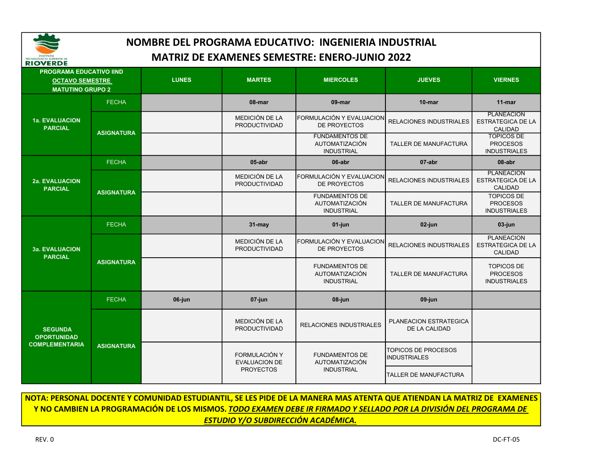

| <b>RIOVERDE</b>                         |                                                                                     |        |                                              |                                                                     |                                             |                                                                 |
|-----------------------------------------|-------------------------------------------------------------------------------------|--------|----------------------------------------------|---------------------------------------------------------------------|---------------------------------------------|-----------------------------------------------------------------|
|                                         | <b>PROGRAMA EDUCATIVO IIND</b><br><b>OCTAVO SEMESTRE</b><br><b>MATUTINO GRUPO 2</b> |        | <b>MARTES</b>                                | <b>MIERCOLES</b>                                                    | <b>JUEVES</b>                               | <b>VIERNES</b>                                                  |
|                                         | <b>FECHA</b>                                                                        |        | 08-mar                                       | 09-mar                                                              | 10-mar                                      | $11$ -mar                                                       |
| 1a. EVALUACION<br><b>PARCIAL</b>        |                                                                                     |        | MEDICIÓN DE LA<br>PRODUCTIVIDAD              | FORMULACIÓN Y EVALUACION<br>DE PROYECTOS                            | RELACIONES INDUSTRIALES                     | <b>PLANEACION</b><br><b>ESTRATEGICA DE LA</b><br><b>CALIDAD</b> |
|                                         | <b>ASIGNATURA</b>                                                                   |        |                                              | <b>FUNDAMENTOS DE</b><br><b>AUTOMATIZACIÓN</b><br><b>INDUSTRIAL</b> | <b>TALLER DE MANUFACTURA</b>                | <b>TOPICOS DE</b><br><b>PROCESOS</b><br><b>INDUSTRIALES</b>     |
|                                         | <b>FECHA</b>                                                                        |        | 05-abr                                       | 06-abr                                                              | 07-abr                                      | 08-abr                                                          |
| 2a. EVALUACION<br><b>PARCIAL</b>        |                                                                                     |        | MEDICIÓN DE LA<br>PRODUCTIVIDAD              | FORMULACIÓN Y EVALUACION<br>DE PROYECTOS                            | <b>RELACIONES INDUSTRIALES</b>              | <b>PLANEACION</b><br><b>ESTRATEGICA DE LA</b><br>CALIDAD        |
|                                         | <b>ASIGNATURA</b>                                                                   |        |                                              | <b>FUNDAMENTOS DE</b><br><b>AUTOMATIZACIÓN</b><br><b>INDUSTRIAL</b> | <b>TALLER DE MANUFACTURA</b>                | <b>TOPICOS DE</b><br><b>PROCESOS</b><br><b>INDUSTRIALES</b>     |
|                                         | <b>FECHA</b>                                                                        |        | 31-may                                       | 01-jun                                                              | 02-jun                                      | 03-jun                                                          |
| <b>3a. EVALUACION</b><br><b>PARCIAL</b> | <b>ASIGNATURA</b>                                                                   |        | MEDICIÓN DE LA<br>PRODUCTIVIDAD              | FORMULACIÓN Y EVALUACION<br>DE PROYECTOS                            | <b>RELACIONES INDUSTRIALES</b>              | <b>PLANEACION</b><br><b>ESTRATEGICA DE LA</b><br>CALIDAD        |
|                                         |                                                                                     |        |                                              | <b>FUNDAMENTOS DE</b><br>AUTOMATIZACIÓN<br><b>INDUSTRIAL</b>        | TALLER DE MANUFACTURA                       | <b>TOPICOS DE</b><br><b>PROCESOS</b><br><b>INDUSTRIALES</b>     |
|                                         | <b>FECHA</b>                                                                        | 06-jun | 07-jun                                       | 08-jun                                                              | 09-jun                                      |                                                                 |
| <b>SEGUNDA</b><br><b>OPORTUNIDAD</b>    | <b>ASIGNATURA</b>                                                                   |        | MEDICIÓN DE LA<br><b>PRODUCTIVIDAD</b>       | <b>RELACIONES INDUSTRIALES</b>                                      | PLANEACION ESTRATEGICA<br>DE LA CALIDAD     |                                                                 |
| <b>COMPLEMENTARIA</b>                   |                                                                                     |        | <b>FORMULACIÓN Y</b><br><b>EVALUACION DE</b> | <b>FUNDAMENTOS DE</b><br><b>AUTOMATIZACIÓN</b>                      | <b>TOPICOS DE PROCESOS</b><br>IINDUSTRIALES |                                                                 |
|                                         |                                                                                     |        | <b>PROYECTOS</b>                             | <b>INDUSTRIAL</b>                                                   | <b>TALLER DE MANUFACTURA</b>                |                                                                 |